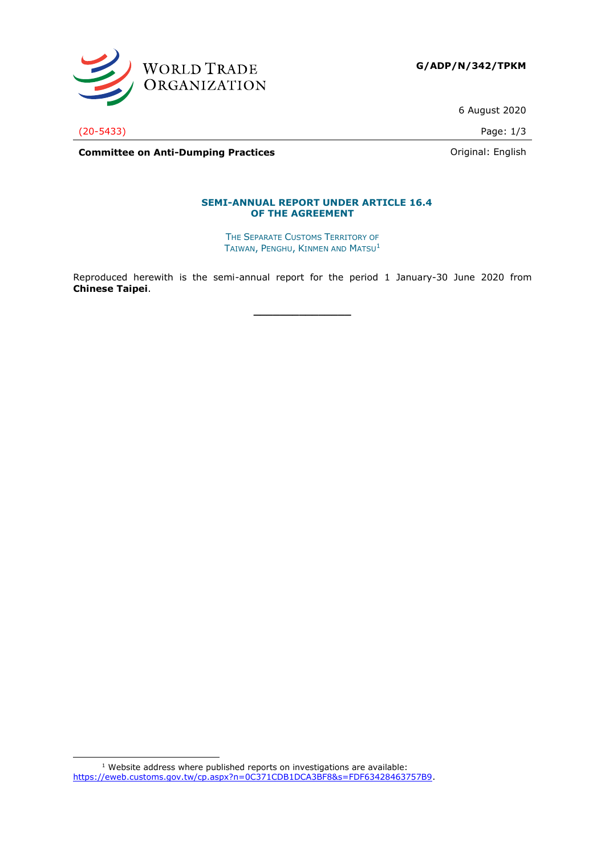

6 August 2020

(20-5433) Page: 1/3

**Committee on Anti-Dumping Practices Committee on Anti-Dumping Practices Committee on Anti-Dumping Practices** 

### **SEMI-ANNUAL REPORT UNDER ARTICLE 16.4 OF THE AGREEMENT**

THE SEPARATE CUSTOMS TERRITORY OF TAIWAN, PENGHU, KINMEN AND MATSU<sup>1</sup>

Reproduced herewith is the semi-annual report for the period 1 January-30 June 2020 from **Chinese Taipei**.

**\_\_\_\_\_\_\_\_\_\_\_\_\_\_\_**

 $1$  Website address where published reports on investigations are available: [https://eweb.customs.gov.tw/cp.aspx?n=0C371CDB1DCA3BF8&s=FDF63428463757B9.](https://eweb.customs.gov.tw/cp.aspx?n=0C371CDB1DCA3BF8&s=FDF63428463757B9)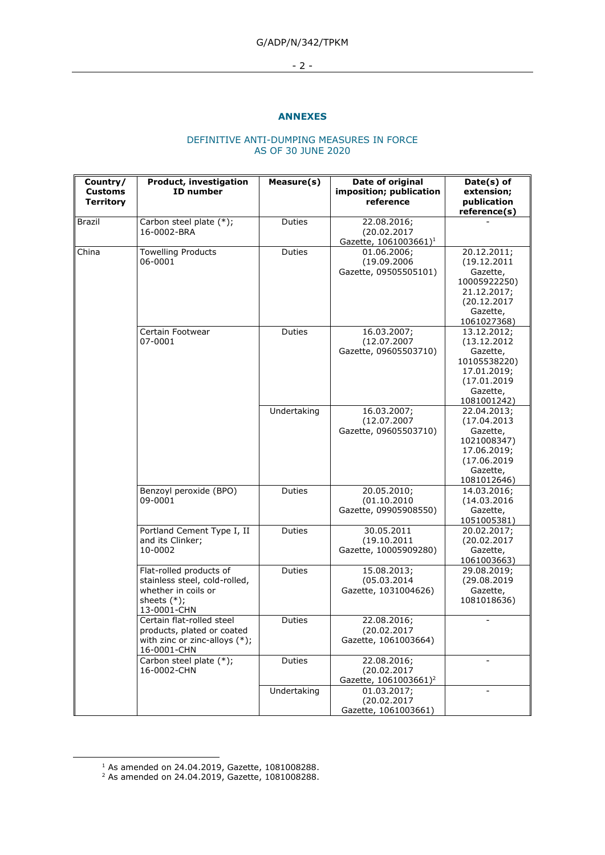# G/ADP/N/342/TPKM

### - 2 -

### **ANNEXES**

### DEFINITIVE ANTI-DUMPING MEASURES IN FORCE AS OF 30 JUNE 2020

| Country/<br><b>Customs</b><br><b>Territory</b> | Product, investigation<br>ID number                                                                              | Measure(s)  | Date of original<br>imposition; publication<br>reference        | Date(s) of<br>extension;<br>publication<br>reference(s)                                                          |
|------------------------------------------------|------------------------------------------------------------------------------------------------------------------|-------------|-----------------------------------------------------------------|------------------------------------------------------------------------------------------------------------------|
| Brazil                                         | Carbon steel plate (*);<br>16-0002-BRA                                                                           | Duties      | 22.08.2016;<br>(20.02.2017<br>Gazette, 1061003661) <sup>1</sup> |                                                                                                                  |
| China                                          | Towelling Products<br>06-0001                                                                                    | Duties      | 01.06.2006;<br>(19.09.2006<br>Gazette, 09505505101)             | 20.12.2011;<br>(19.12.2011)<br>Gazette,<br>10005922250)<br>21.12.2017;<br>(20.12.2017<br>Gazette,<br>1061027368) |
|                                                | Certain Footwear<br>07-0001                                                                                      | Duties      | 16.03.2007;<br>(12.07.2007<br>Gazette, 09605503710)             | 13.12.2012;<br>(13.12.2012)<br>Gazette,<br>10105538220)<br>17.01.2019;<br>(17.01.2019<br>Gazette,<br>1081001242) |
|                                                |                                                                                                                  | Undertaking | 16.03.2007;<br>(12.07.2007<br>Gazette, 09605503710)             | 22.04.2013:<br>(17.04.2013)<br>Gazette,<br>1021008347)<br>17.06.2019;<br>(17.06.2019<br>Gazette,<br>1081012646)  |
|                                                | Benzoyl peroxide (BPO)<br>09-0001                                                                                | Duties      | 20.05.2010;<br>(01.10.2010<br>Gazette, 09905908550)             | 14.03.2016;<br>(14.03.2016<br>Gazette,<br>1051005381)                                                            |
|                                                | Portland Cement Type I, II<br>and its Clinker;<br>10-0002                                                        | Duties      | 30.05.2011<br>(19.10.2011<br>Gazette, 10005909280)              | 20.02.2017;<br>(20.02.2017<br>Gazette,<br>1061003663)                                                            |
|                                                | Flat-rolled products of<br>stainless steel, cold-rolled,<br>whether in coils or<br>sheets $(*)$ ;<br>13-0001-CHN | Duties      | 15.08.2013;<br>(05.03.2014)<br>Gazette, 1031004626)             | 29.08.2019;<br>(29.08.2019<br>Gazette,<br>1081018636)                                                            |
|                                                | Certain flat-rolled steel<br>products, plated or coated<br>with zinc or zinc-alloys (*);<br>16-0001-CHN          | Duties      | 22.08.2016;<br>(20.02.2017<br>Gazette, 1061003664)              |                                                                                                                  |
|                                                | Carbon steel plate (*);<br>16-0002-CHN                                                                           | Duties      | 22.08.2016;<br>(20.02.2017<br>Gazette, 1061003661) <sup>2</sup> |                                                                                                                  |
|                                                |                                                                                                                  | Undertaking | 01.03.2017;<br>(20.02.2017<br>Gazette, 1061003661)              |                                                                                                                  |

 $1$  As amended on 24.04.2019, Gazette, 1081008288.

 $2$  As amended on 24.04.2019, Gazette, 1081008288.